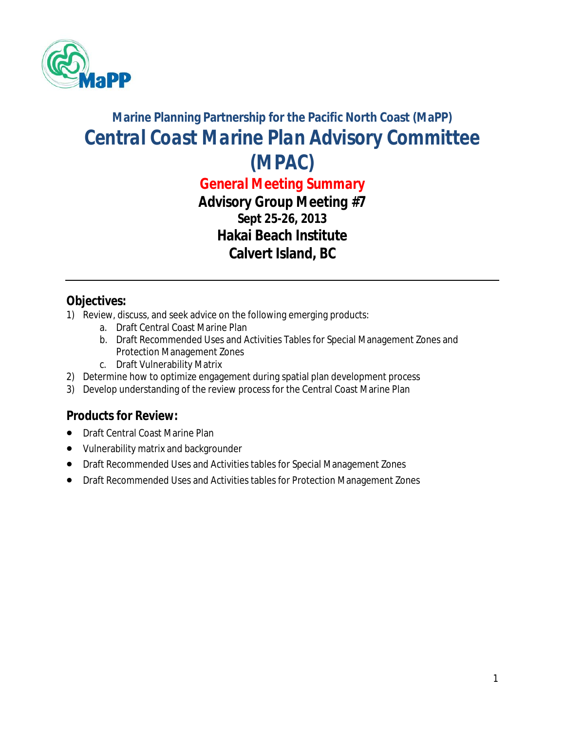

# **Marine Planning Partnership for the Pacific North Coast (MaPP)** *Central Coast Marine Plan Advisory Committee (MPAC)*

*General Meeting Summary Advisory Group Meeting #7* **Sept 25-26, 2013 Hakai Beach Institute Calvert Island, BC**

### **Objectives:**

- 1) Review, discuss, and seek advice on the following emerging products:
	- a. Draft Central Coast Marine Plan
	- b. Draft Recommended Uses and Activities Tables for Special Management Zones and Protection Management Zones
	- c. Draft Vulnerability Matrix
- 2) Determine how to optimize engagement during spatial plan development process
- 3) Develop understanding of the review process for the Central Coast Marine Plan

### **Products for Review:**

- Draft Central Coast Marine Plan
- Vulnerability matrix and backgrounder
- Draft Recommended Uses and Activities tables for Special Management Zones
- Draft Recommended Uses and Activities tables for Protection Management Zones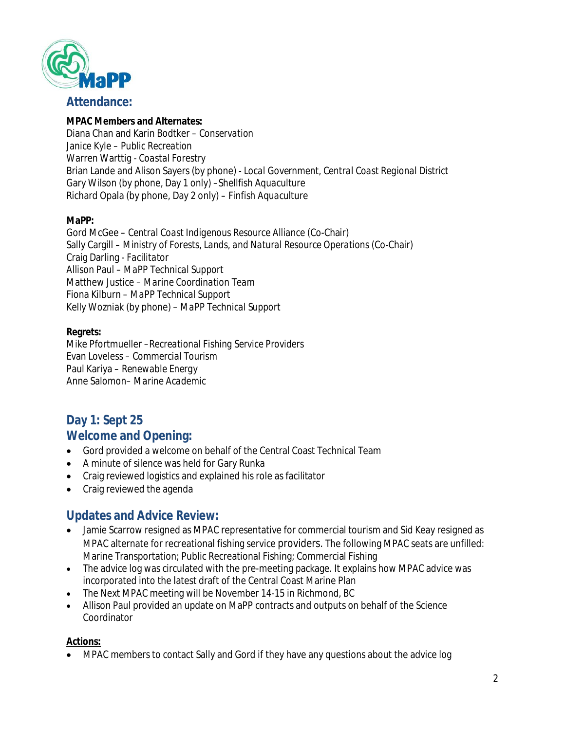

#### **Attendance:**

#### **MPAC Members and Alternates:**

Diana Chan and Karin Bodtker – *Conservation* Janice Kyle – *Public Recreation* Warren Warttig - *Coastal Forestry* Brian Lande and Alison Sayers (by phone) - *Local Government, Central Coast Regional District* Gary Wilson (by phone, Day 1 only) *–Shellfish Aquaculture*  Richard Opala (by phone, Day 2 only) – *Finfish Aquaculture*

#### **MaPP:**

Gord McGee – *Central Coast Indigenous Resource Alliance* (Co-Chair) Sally Cargill – *Ministry of Forests, Lands, and Natural Resource Operations* (Co-Chair) Craig Darling *- Facilitator* Allison Paul – *MaPP Technical Support* Matthew Justice – *Marine Coordination Team*  Fiona Kilburn – *MaPP Technical Support* Kelly Wozniak (by phone) – *MaPP Technical Support*

#### **Regrets:**

Mike Pfortmueller –*Recreational Fishing Service Providers* Evan Loveless – *Commercial Tourism* Paul Kariya *– Renewable Energy* Anne Salomon*– Marine Academic*

## **Day 1: Sept 25**

### **Welcome and Opening:**

- Gord provided a welcome on behalf of the Central Coast Technical Team
- A minute of silence was held for Gary Runka
- Craig reviewed logistics and explained his role as facilitator
- Craig reviewed the agenda

#### **Updates and Advice Review:**

- Jamie Scarrow resigned as MPAC representative for commercial tourism and Sid Keay resigned as MPAC alternate for recreational fishing service providers. The following MPAC seats are unfilled: Marine Transportation; Public Recreational Fishing; Commercial Fishing
- The advice log was circulated with the pre-meeting package. It explains how MPAC advice was incorporated into the latest draft of the Central Coast Marine Plan
- The Next MPAC meeting will be November 14-15 in Richmond, BC
- Allison Paul provided an update on MaPP contracts and outputs on behalf of the Science Coordinator

#### **Actions:**

MPAC members to contact Sally and Gord if they have any questions about the advice log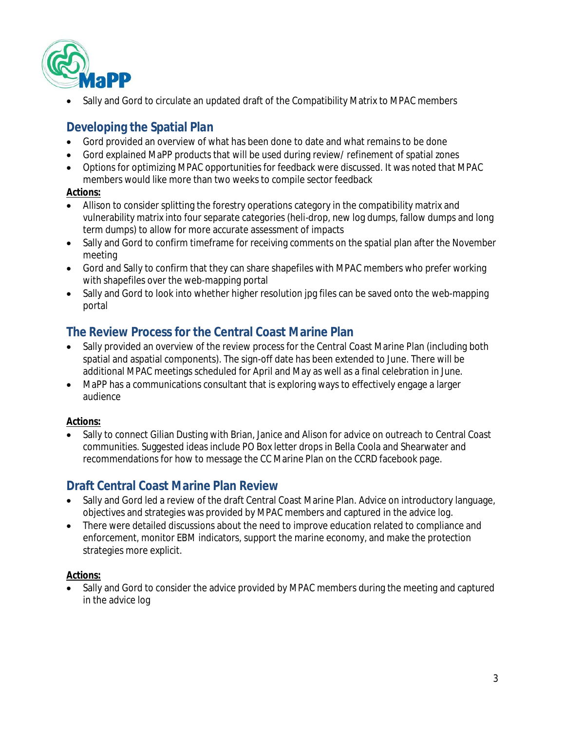

Sally and Gord to circulate an updated draft of the Compatibility Matrix to MPAC members

### **Developing the Spatial Plan**

- Gord provided an overview of what has been done to date and what remains to be done
- Gord explained MaPP products that will be used during review/ refinement of spatial zones
- Options for optimizing MPAC opportunities for feedback were discussed. It was noted that MPAC members would like more than two weeks to compile sector feedback

#### **Actions:**

- Allison to consider splitting the forestry operations category in the compatibility matrix and vulnerability matrix into four separate categories (heli-drop, new log dumps, fallow dumps and long term dumps) to allow for more accurate assessment of impacts
- Sally and Gord to confirm timeframe for receiving comments on the spatial plan after the November meeting
- Gord and Sally to confirm that they can share shapefiles with MPAC members who prefer working with shapefiles over the web-mapping portal
- Sally and Gord to look into whether higher resolution jpg files can be saved onto the web-mapping portal

### **The Review Process for the Central Coast Marine Plan**

- Sally provided an overview of the review process for the Central Coast Marine Plan (including both spatial and aspatial components). The sign-off date has been extended to June. There will be additional MPAC meetings scheduled for April and May as well as a final celebration in June.
- MaPP has a communications consultant that is exploring ways to effectively engage a larger audience

#### **Actions:**

 Sally to connect Gilian Dusting with Brian, Janice and Alison for advice on outreach to Central Coast communities. Suggested ideas include PO Box letter drops in Bella Coola and Shearwater and recommendations for how to message the CC Marine Plan on the CCRD facebook page.

### **Draft Central Coast Marine Plan Review**

- Sally and Gord led a review of the draft Central Coast Marine Plan. Advice on introductory language, objectives and strategies was provided by MPAC members and captured in the advice log.
- There were detailed discussions about the need to improve education related to compliance and enforcement, monitor EBM indicators, support the marine economy, and make the protection strategies more explicit.

#### **Actions:**

 Sally and Gord to consider the advice provided by MPAC members during the meeting and captured in the advice log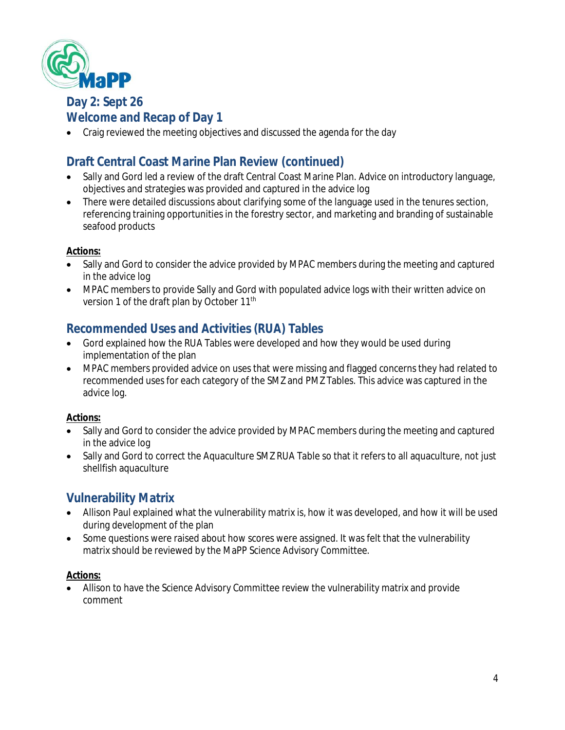

**Day 2: Sept 26**

### **Welcome and Recap of Day 1**

Craig reviewed the meeting objectives and discussed the agenda for the day

### **Draft Central Coast Marine Plan Review (continued)**

- Sally and Gord led a review of the draft Central Coast Marine Plan. Advice on introductory language, objectives and strategies was provided and captured in the advice log
- There were detailed discussions about clarifying some of the language used in the tenures section, referencing training opportunities in the forestry sector, and marketing and branding of sustainable seafood products

#### **Actions:**

- Sally and Gord to consider the advice provided by MPAC members during the meeting and captured in the advice log
- MPAC members to provide Sally and Gord with populated advice logs with their written advice on version 1 of the draft plan by October 11<sup>th</sup>

### **Recommended Uses and Activities (RUA) Tables**

- Gord explained how the RUA Tables were developed and how they would be used during implementation of the plan
- MPAC members provided advice on uses that were missing and flagged concerns they had related to recommended uses for each category of the SMZ and PMZ Tables. This advice was captured in the advice log.

#### **Actions:**

- Sally and Gord to consider the advice provided by MPAC members during the meeting and captured in the advice log
- Sally and Gord to correct the Aquaculture SMZ RUA Table so that it refers to all aquaculture, not just shellfish aquaculture

### **Vulnerability Matrix**

- Allison Paul explained what the vulnerability matrix is, how it was developed, and how it will be used during development of the plan
- Some questions were raised about how scores were assigned. It was felt that the vulnerability matrix should be reviewed by the MaPP Science Advisory Committee.

#### **Actions:**

 Allison to have the Science Advisory Committee review the vulnerability matrix and provide comment